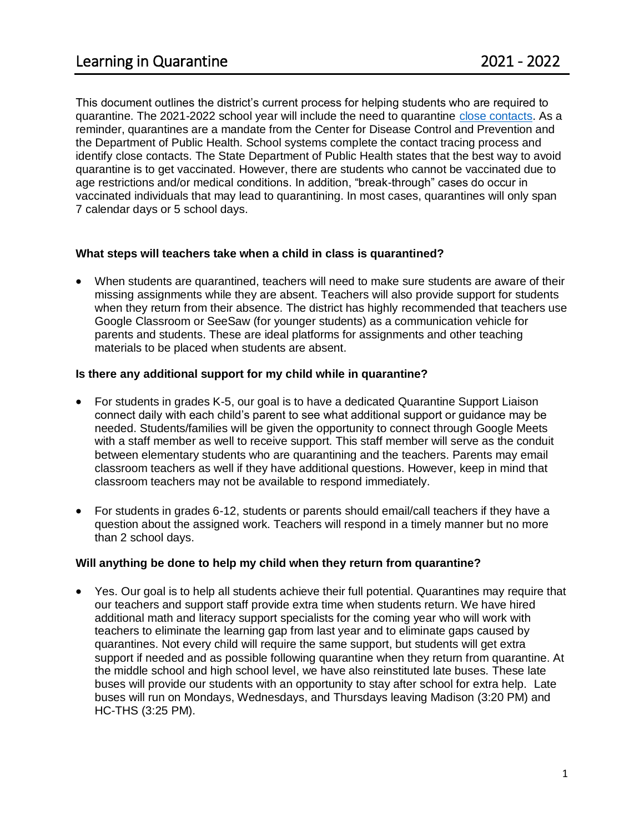This document outlines the district's current process for helping students who are required to quarantine. The 2021-2022 school year will include the need to quarantine [close contacts.](https://www.trumbullps.org/Attachments/covid/2021/ContactTracingProcess21.pdf) As a reminder, quarantines are a mandate from the Center for Disease Control and Prevention and the Department of Public Health. School systems complete the contact tracing process and identify close contacts. The State Department of Public Health states that the best way to avoid quarantine is to get vaccinated. However, there are students who cannot be vaccinated due to age restrictions and/or medical conditions. In addition, "break-through" cases do occur in vaccinated individuals that may lead to quarantining. In most cases, quarantines will only span 7 calendar days or 5 school days.

### **What steps will teachers take when a child in class is quarantined?**

• When students are quarantined, teachers will need to make sure students are aware of their missing assignments while they are absent. Teachers will also provide support for students when they return from their absence. The district has highly recommended that teachers use Google Classroom or SeeSaw (for younger students) as a communication vehicle for parents and students. These are ideal platforms for assignments and other teaching materials to be placed when students are absent.

#### **Is there any additional support for my child while in quarantine?**

- For students in grades K-5, our goal is to have a dedicated Quarantine Support Liaison connect daily with each child's parent to see what additional support or guidance may be needed. Students/families will be given the opportunity to connect through Google Meets with a staff member as well to receive support. This staff member will serve as the conduit between elementary students who are quarantining and the teachers. Parents may email classroom teachers as well if they have additional questions. However, keep in mind that classroom teachers may not be available to respond immediately.
- For students in grades 6-12, students or parents should email/call teachers if they have a question about the assigned work. Teachers will respond in a timely manner but no more than 2 school days.

### **Will anything be done to help my child when they return from quarantine?**

• Yes. Our goal is to help all students achieve their full potential. Quarantines may require that our teachers and support staff provide extra time when students return. We have hired additional math and literacy support specialists for the coming year who will work with teachers to eliminate the learning gap from last year and to eliminate gaps caused by quarantines. Not every child will require the same support, but students will get extra support if needed and as possible following quarantine when they return from quarantine. At the middle school and high school level, we have also reinstituted late buses. These late buses will provide our students with an opportunity to stay after school for extra help. Late buses will run on Mondays, Wednesdays, and Thursdays leaving Madison (3:20 PM) and HC-THS (3:25 PM).